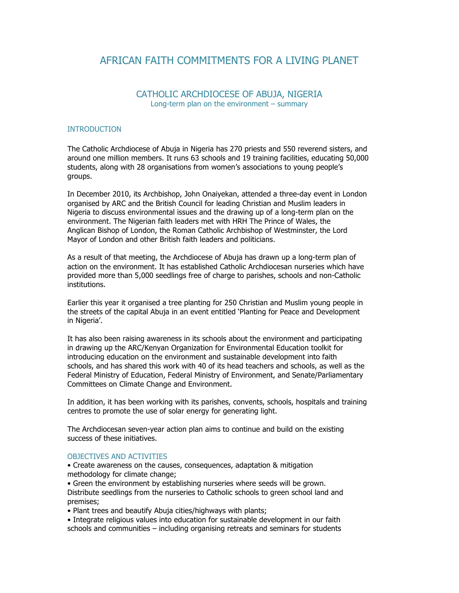## AFRICAN FAITH COMMITMENTS FOR A LIVING PLANET

## CATHOLIC ARCHDIOCESE OF ABUJA, NIGERIA Long-term plan on the environment – summary

## **INTRODUCTION**

The Catholic Archdiocese of Abuja in Nigeria has 270 priests and 550 reverend sisters, and around one million members. It runs 63 schools and 19 training facilities, educating 50,000 students, along with 28 organisations from women's associations to young people's groups.

In December 2010, its Archbishop, John Onaiyekan, attended a three-day event in London organised by ARC and the British Council for leading Christian and Muslim leaders in Nigeria to discuss environmental issues and the drawing up of a long-term plan on the environment. The Nigerian faith leaders met with HRH The Prince of Wales, the Anglican Bishop of London, the Roman Catholic Archbishop of Westminster, the Lord Mayor of London and other British faith leaders and politicians.

As a result of that meeting, the Archdiocese of Abuja has drawn up a long-term plan of action on the environment. It has established Catholic Archdiocesan nurseries which have provided more than 5,000 seedlings free of charge to parishes, schools and non-Catholic institutions.

Earlier this year it organised a tree planting for 250 Christian and Muslim young people in the streets of the capital Abuja in an event entitled 'Planting for Peace and Development in Nigeria'.

It has also been raising awareness in its schools about the environment and participating in drawing up the ARC/Kenyan Organization for Environmental Education toolkit for introducing education on the environment and sustainable development into faith schools, and has shared this work with 40 of its head teachers and schools, as well as the Federal Ministry of Education, Federal Ministry of Environment, and Senate/Parliamentary Committees on Climate Change and Environment.

In addition, it has been working with its parishes, convents, schools, hospitals and training centres to promote the use of solar energy for generating light.

The Archdiocesan seven-year action plan aims to continue and build on the existing success of these initiatives.

## OBJECTIVES AND ACTIVITIES

• Create awareness on the causes, consequences, adaptation & mitigation methodology for climate change;

• Green the environment by establishing nurseries where seeds will be grown. Distribute seedlings from the nurseries to Catholic schools to green school land and premises;

• Plant trees and beautify Abuja cities/highways with plants;

• Integrate religious values into education for sustainable development in our faith schools and communities – including organising retreats and seminars for students